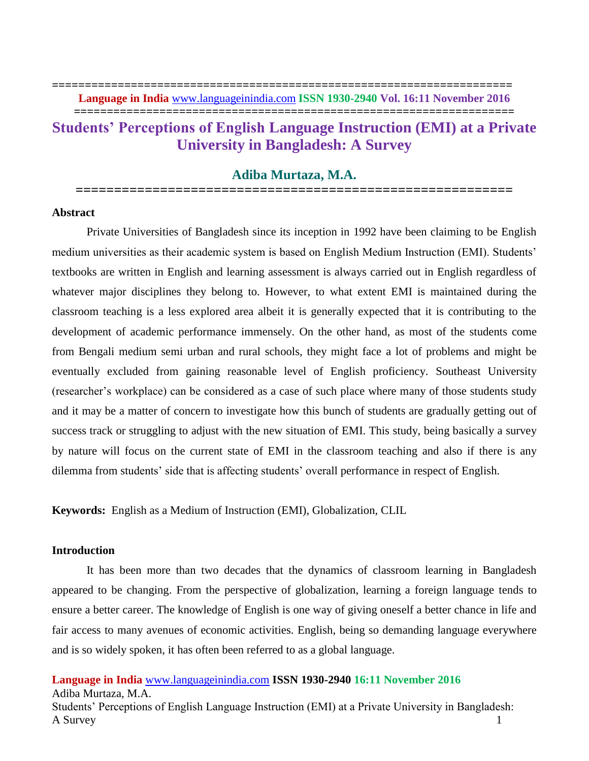**===================================================================**

# **Students' Perceptions of English Language Instruction (EMI) at a Private University in Bangladesh: A Survey**

# **Adiba Murtaza, M.A. =========================================================**

#### **Abstract**

Private Universities of Bangladesh since its inception in 1992 have been claiming to be English medium universities as their academic system is based on English Medium Instruction (EMI). Students' textbooks are written in English and learning assessment is always carried out in English regardless of whatever major disciplines they belong to. However, to what extent EMI is maintained during the classroom teaching is a less explored area albeit it is generally expected that it is contributing to the development of academic performance immensely. On the other hand, as most of the students come from Bengali medium semi urban and rural schools, they might face a lot of problems and might be eventually excluded from gaining reasonable level of English proficiency. Southeast University (researcher's workplace) can be considered as a case of such place where many of those students study and it may be a matter of concern to investigate how this bunch of students are gradually getting out of success track or struggling to adjust with the new situation of EMI. This study, being basically a survey by nature will focus on the current state of EMI in the classroom teaching and also if there is any dilemma from students' side that is affecting students' overall performance in respect of English.

**Keywords:** English as a Medium of Instruction (EMI), Globalization, CLIL

# **Introduction**

It has been more than two decades that the dynamics of classroom learning in Bangladesh appeared to be changing. From the perspective of globalization, learning a foreign language tends to ensure a better career. The knowledge of English is one way of giving oneself a better chance in life and fair access to many avenues of economic activities. English, being so demanding language everywhere and is so widely spoken, it has often been referred to as a global language.

**Language in India** [www.languageinindia.com](http://www.languageinindia.com/) **ISSN 1930-2940 16:11 November 2016** Adiba Murtaza, M.A.

Students' Perceptions of English Language Instruction (EMI) at a Private University in Bangladesh: A Survey 1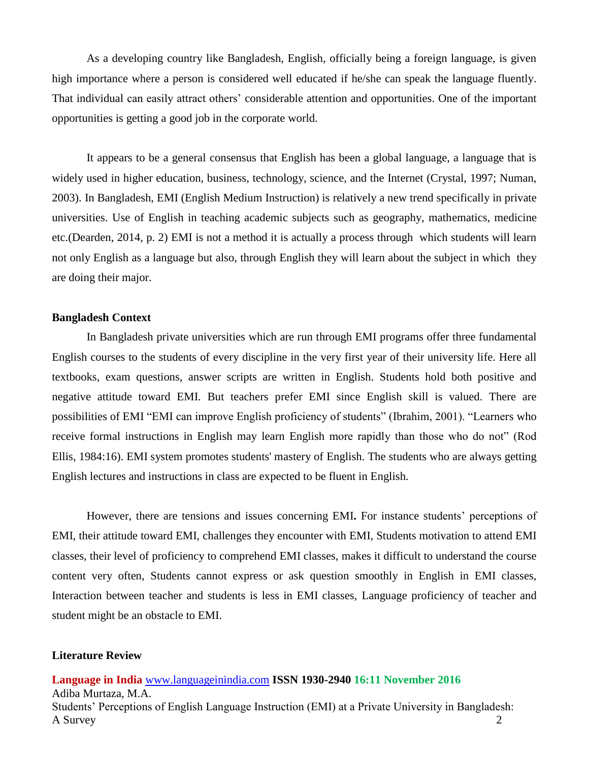As a developing country like Bangladesh, English, officially being a foreign language, is given high importance where a person is considered well educated if he/she can speak the language fluently. That individual can easily attract others' considerable attention and opportunities. One of the important opportunities is getting a good job in the corporate world.

It appears to be a general consensus that English has been a global language, a language that is widely used in higher education, business, technology, science, and the Internet (Crystal, 1997; Numan, 2003). In Bangladesh, EMI (English Medium Instruction) is relatively a new trend specifically in private universities. Use of English in teaching academic subjects such as geography, mathematics, medicine etc.(Dearden, 2014, p. 2) EMI is not a method it is actually a process through which students will learn not only English as a language but also, through English they will learn about the subject in which they are doing their major.

#### **Bangladesh Context**

In Bangladesh private universities which are run through EMI programs offer three fundamental English courses to the students of every discipline in the very first year of their university life. Here all textbooks, exam questions, answer scripts are written in English. Students hold both positive and negative attitude toward EMI. But teachers prefer EMI since English skill is valued. There are possibilities of EMI "EMI can improve English proficiency of students" (Ibrahim, 2001). "Learners who receive formal instructions in English may learn English more rapidly than those who do not" (Rod Ellis, 1984:16). EMI system promotes students' mastery of English. The students who are always getting English lectures and instructions in class are expected to be fluent in English.

However, there are tensions and issues concerning EMI**.** For instance students' perceptions of EMI, their attitude toward EMI, challenges they encounter with EMI, Students motivation to attend EMI classes, their level of proficiency to comprehend EMI classes, makes it difficult to understand the course content very often, Students cannot express or ask question smoothly in English in EMI classes, Interaction between teacher and students is less in EMI classes, Language proficiency of teacher and student might be an obstacle to EMI.

#### **Literature Review**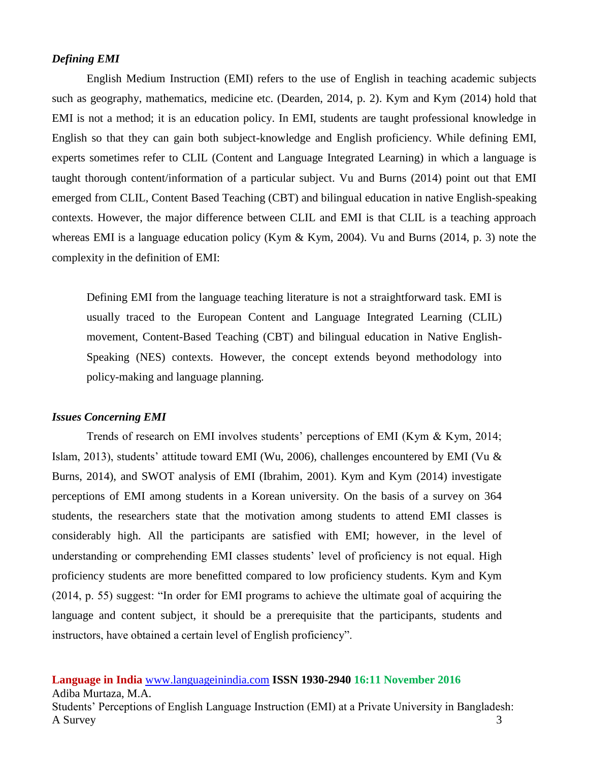#### *Defining EMI*

English Medium Instruction (EMI) refers to the use of English in teaching academic subjects such as geography, mathematics, medicine etc. (Dearden, 2014, p. 2). Kym and Kym (2014) hold that EMI is not a method; it is an education policy. In EMI, students are taught professional knowledge in English so that they can gain both subject-knowledge and English proficiency. While defining EMI, experts sometimes refer to CLIL (Content and Language Integrated Learning) in which a language is taught thorough content/information of a particular subject. Vu and Burns (2014) point out that EMI emerged from CLIL, Content Based Teaching (CBT) and bilingual education in native English-speaking contexts. However, the major difference between CLIL and EMI is that CLIL is a teaching approach whereas EMI is a language education policy (Kym & Kym, 2004). Vu and Burns (2014, p. 3) note the complexity in the definition of EMI:

Defining EMI from the language teaching literature is not a straightforward task. EMI is usually traced to the European Content and Language Integrated Learning (CLIL) movement, Content-Based Teaching (CBT) and bilingual education in Native English-Speaking (NES) contexts. However, the concept extends beyond methodology into policy-making and language planning.

#### *Issues Concerning EMI*

Trends of research on EMI involves students' perceptions of EMI (Kym & Kym, 2014; Islam, 2013), students' attitude toward EMI (Wu, 2006), challenges encountered by EMI (Vu & Burns, 2014), and SWOT analysis of EMI (Ibrahim, 2001). Kym and Kym (2014) investigate perceptions of EMI among students in a Korean university. On the basis of a survey on 364 students, the researchers state that the motivation among students to attend EMI classes is considerably high. All the participants are satisfied with EMI; however, in the level of understanding or comprehending EMI classes students' level of proficiency is not equal. High proficiency students are more benefitted compared to low proficiency students. Kym and Kym (2014, p. 55) suggest: "In order for EMI programs to achieve the ultimate goal of acquiring the language and content subject, it should be a prerequisite that the participants, students and instructors, have obtained a certain level of English proficiency".

**Language in India** [www.languageinindia.com](http://www.languageinindia.com/) **ISSN 1930-2940 16:11 November 2016**

Adiba Murtaza, M.A. Students' Perceptions of English Language Instruction (EMI) at a Private University in Bangladesh: A Survey 3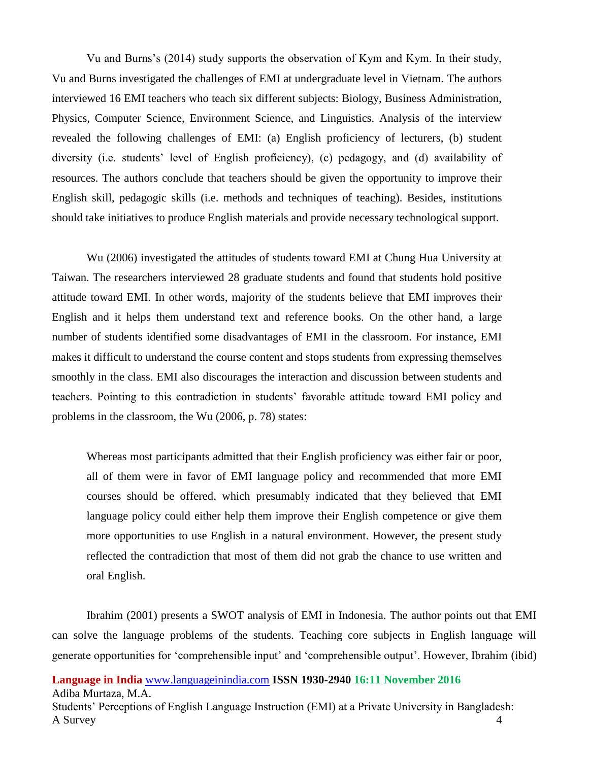Vu and Burns's (2014) study supports the observation of Kym and Kym. In their study, Vu and Burns investigated the challenges of EMI at undergraduate level in Vietnam. The authors interviewed 16 EMI teachers who teach six different subjects: Biology, Business Administration, Physics, Computer Science, Environment Science, and Linguistics. Analysis of the interview revealed the following challenges of EMI: (a) English proficiency of lecturers, (b) student diversity (i.e. students' level of English proficiency), (c) pedagogy, and (d) availability of resources. The authors conclude that teachers should be given the opportunity to improve their English skill, pedagogic skills (i.e. methods and techniques of teaching). Besides, institutions should take initiatives to produce English materials and provide necessary technological support.

Wu (2006) investigated the attitudes of students toward EMI at Chung Hua University at Taiwan. The researchers interviewed 28 graduate students and found that students hold positive attitude toward EMI. In other words, majority of the students believe that EMI improves their English and it helps them understand text and reference books. On the other hand, a large number of students identified some disadvantages of EMI in the classroom. For instance, EMI makes it difficult to understand the course content and stops students from expressing themselves smoothly in the class. EMI also discourages the interaction and discussion between students and teachers. Pointing to this contradiction in students' favorable attitude toward EMI policy and problems in the classroom, the Wu (2006, p. 78) states:

Whereas most participants admitted that their English proficiency was either fair or poor, all of them were in favor of EMI language policy and recommended that more EMI courses should be offered, which presumably indicated that they believed that EMI language policy could either help them improve their English competence or give them more opportunities to use English in a natural environment. However, the present study reflected the contradiction that most of them did not grab the chance to use written and oral English.

Ibrahim (2001) presents a SWOT analysis of EMI in Indonesia. The author points out that EMI can solve the language problems of the students. Teaching core subjects in English language will generate opportunities for 'comprehensible input' and 'comprehensible output'. However, Ibrahim (ibid)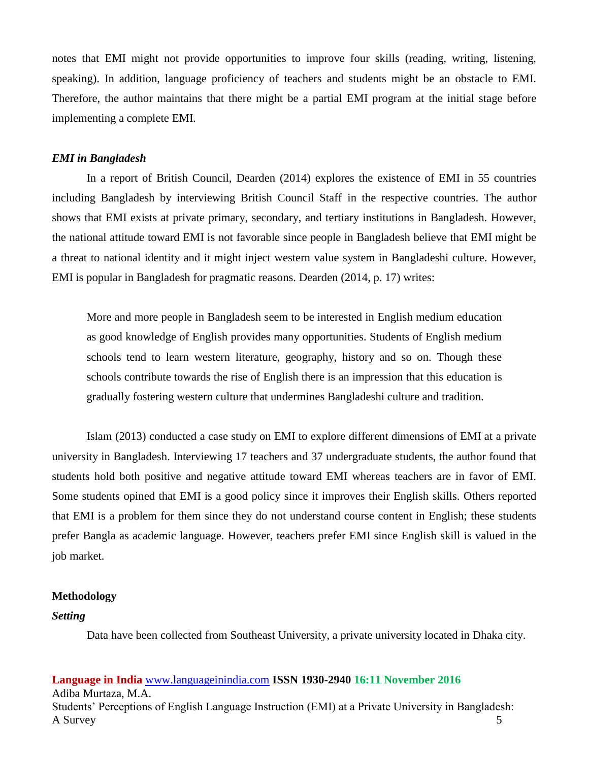notes that EMI might not provide opportunities to improve four skills (reading, writing, listening, speaking). In addition, language proficiency of teachers and students might be an obstacle to EMI. Therefore, the author maintains that there might be a partial EMI program at the initial stage before implementing a complete EMI.

#### *EMI in Bangladesh*

In a report of British Council, Dearden (2014) explores the existence of EMI in 55 countries including Bangladesh by interviewing British Council Staff in the respective countries. The author shows that EMI exists at private primary, secondary, and tertiary institutions in Bangladesh. However, the national attitude toward EMI is not favorable since people in Bangladesh believe that EMI might be a threat to national identity and it might inject western value system in Bangladeshi culture. However, EMI is popular in Bangladesh for pragmatic reasons. Dearden (2014, p. 17) writes:

More and more people in Bangladesh seem to be interested in English medium education as good knowledge of English provides many opportunities. Students of English medium schools tend to learn western literature, geography, history and so on. Though these schools contribute towards the rise of English there is an impression that this education is gradually fostering western culture that undermines Bangladeshi culture and tradition.

Islam (2013) conducted a case study on EMI to explore different dimensions of EMI at a private university in Bangladesh. Interviewing 17 teachers and 37 undergraduate students, the author found that students hold both positive and negative attitude toward EMI whereas teachers are in favor of EMI. Some students opined that EMI is a good policy since it improves their English skills. Others reported that EMI is a problem for them since they do not understand course content in English; these students prefer Bangla as academic language. However, teachers prefer EMI since English skill is valued in the job market.

#### **Methodology**

## *Setting*

Data have been collected from Southeast University, a private university located in Dhaka city.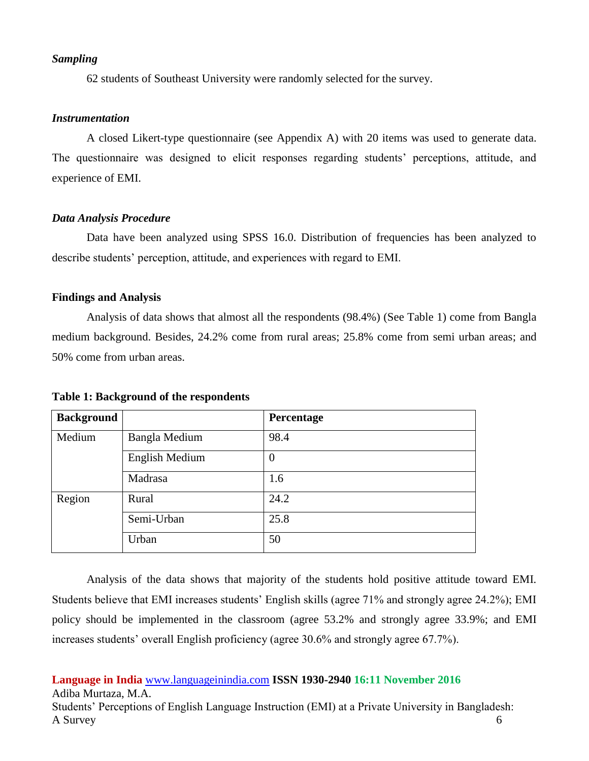#### *Sampling*

62 students of Southeast University were randomly selected for the survey.

#### *Instrumentation*

A closed Likert-type questionnaire (see Appendix A) with 20 items was used to generate data. The questionnaire was designed to elicit responses regarding students' perceptions, attitude, and experience of EMI.

#### *Data Analysis Procedure*

Data have been analyzed using SPSS 16.0. Distribution of frequencies has been analyzed to describe students' perception, attitude, and experiences with regard to EMI.

#### **Findings and Analysis**

Analysis of data shows that almost all the respondents (98.4%) (See Table 1) come from Bangla medium background. Besides, 24.2% come from rural areas; 25.8% come from semi urban areas; and 50% come from urban areas.

| <b>Background</b> |                       | Percentage |
|-------------------|-----------------------|------------|
| Medium            | <b>Bangla Medium</b>  | 98.4       |
|                   | <b>English Medium</b> | 0          |
|                   | Madrasa               | 1.6        |
| Region            | Rural                 | 24.2       |
|                   | Semi-Urban            | 25.8       |
|                   | Urban                 | 50         |

**Table 1: Background of the respondents**

Analysis of the data shows that majority of the students hold positive attitude toward EMI. Students believe that EMI increases students' English skills (agree 71% and strongly agree 24.2%); EMI policy should be implemented in the classroom (agree 53.2% and strongly agree 33.9%; and EMI increases students' overall English proficiency (agree 30.6% and strongly agree 67.7%).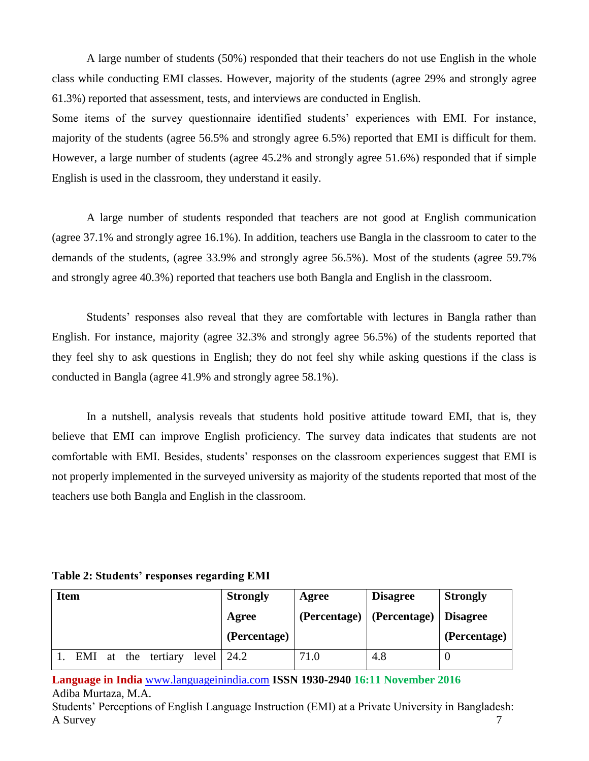A large number of students (50%) responded that their teachers do not use English in the whole class while conducting EMI classes. However, majority of the students (agree 29% and strongly agree 61.3%) reported that assessment, tests, and interviews are conducted in English.

Some items of the survey questionnaire identified students' experiences with EMI. For instance, majority of the students (agree 56.5% and strongly agree 6.5%) reported that EMI is difficult for them. However, a large number of students (agree 45.2% and strongly agree 51.6%) responded that if simple English is used in the classroom, they understand it easily.

A large number of students responded that teachers are not good at English communication (agree 37.1% and strongly agree 16.1%). In addition, teachers use Bangla in the classroom to cater to the demands of the students, (agree 33.9% and strongly agree 56.5%). Most of the students (agree 59.7% and strongly agree 40.3%) reported that teachers use both Bangla and English in the classroom.

Students' responses also reveal that they are comfortable with lectures in Bangla rather than English. For instance, majority (agree 32.3% and strongly agree 56.5%) of the students reported that they feel shy to ask questions in English; they do not feel shy while asking questions if the class is conducted in Bangla (agree 41.9% and strongly agree 58.1%).

In a nutshell, analysis reveals that students hold positive attitude toward EMI, that is, they believe that EMI can improve English proficiency. The survey data indicates that students are not comfortable with EMI. Besides, students' responses on the classroom experiences suggest that EMI is not properly implemented in the surveyed university as majority of the students reported that most of the teachers use both Bangla and English in the classroom.

|  |  | Table 2: Students' responses regarding EMI |  |
|--|--|--------------------------------------------|--|
|  |  |                                            |  |

| <b>Item</b> |  |                                        | <b>Strongly</b> | Agree        | <b>Disagree</b>                   | <b>Strongly</b> |
|-------------|--|----------------------------------------|-----------------|--------------|-----------------------------------|-----------------|
|             |  |                                        | Agree           | (Percentage) | $\sqrt{\frac{1}{2}}$ (Percentage) | Disagree        |
|             |  |                                        | (Percentage)    |              |                                   | (Percentage)    |
|             |  | EMI at the tertiary level $\vert$ 24.2 |                 | 71.0         | 4.8                               | U               |

**Language in India** [www.languageinindia.com](http://www.languageinindia.com/) **ISSN 1930-2940 16:11 November 2016** Adiba Murtaza, M.A.

Students' Perceptions of English Language Instruction (EMI) at a Private University in Bangladesh: A Survey 7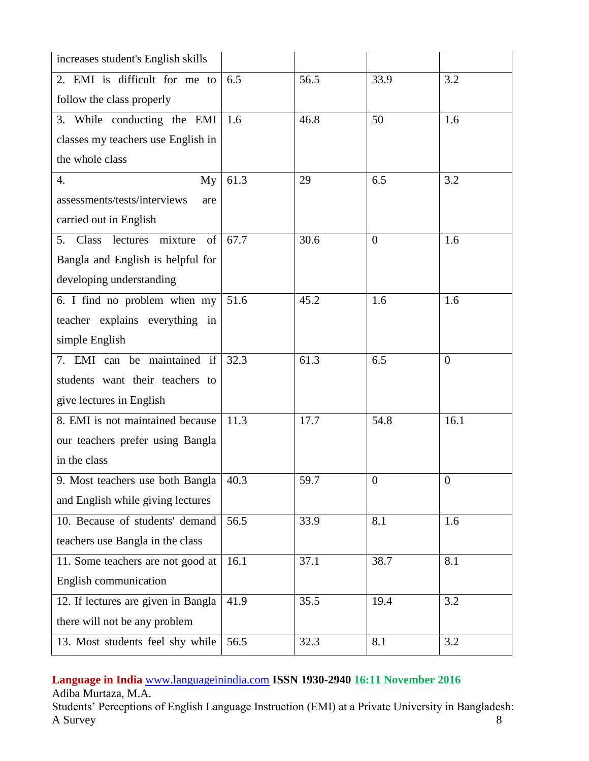| increases student's English skills  |      |      |                |                  |
|-------------------------------------|------|------|----------------|------------------|
| 2. EMI is difficult for me to       | 6.5  | 56.5 | 33.9           | 3.2              |
| follow the class properly           |      |      |                |                  |
| 3. While conducting the EMI         | 1.6  | 46.8 | 50             | 1.6              |
| classes my teachers use English in  |      |      |                |                  |
| the whole class                     |      |      |                |                  |
| 4.<br>My                            | 61.3 | 29   | 6.5            | 3.2              |
| assessments/tests/interviews<br>are |      |      |                |                  |
| carried out in English              |      |      |                |                  |
| 5. Class lectures mixture<br>of     | 67.7 | 30.6 | $\overline{0}$ | 1.6              |
| Bangla and English is helpful for   |      |      |                |                  |
| developing understanding            |      |      |                |                  |
| 6. I find no problem when my        | 51.6 | 45.2 | 1.6            | 1.6              |
| teacher explains everything in      |      |      |                |                  |
| simple English                      |      |      |                |                  |
| 7. EMI can be maintained if         | 32.3 | 61.3 | 6.5            | $\overline{0}$   |
| students want their teachers to     |      |      |                |                  |
| give lectures in English            |      |      |                |                  |
| 8. EMI is not maintained because    | 11.3 | 17.7 | 54.8           | 16.1             |
| our teachers prefer using Bangla    |      |      |                |                  |
| in the class                        |      |      |                |                  |
| 9. Most teachers use both Bangla    | 40.3 | 59.7 | $\overline{0}$ | $\boldsymbol{0}$ |
| and English while giving lectures   |      |      |                |                  |
| 10. Because of students' demand     | 56.5 | 33.9 | 8.1            | 1.6              |
| teachers use Bangla in the class    |      |      |                |                  |
| 11. Some teachers are not good at   | 16.1 | 37.1 | 38.7           | 8.1              |
| English communication               |      |      |                |                  |
| 12. If lectures are given in Bangla | 41.9 | 35.5 | 19.4           | 3.2              |
| there will not be any problem       |      |      |                |                  |
| 13. Most students feel shy while    | 56.5 | 32.3 | 8.1            | 3.2              |

# **Language in India** [www.languageinindia.com](http://www.languageinindia.com/) **ISSN 1930-2940 16:11 November 2016**

Adiba Murtaza, M.A.

Students' Perceptions of English Language Instruction (EMI) at a Private University in Bangladesh: A Survey 8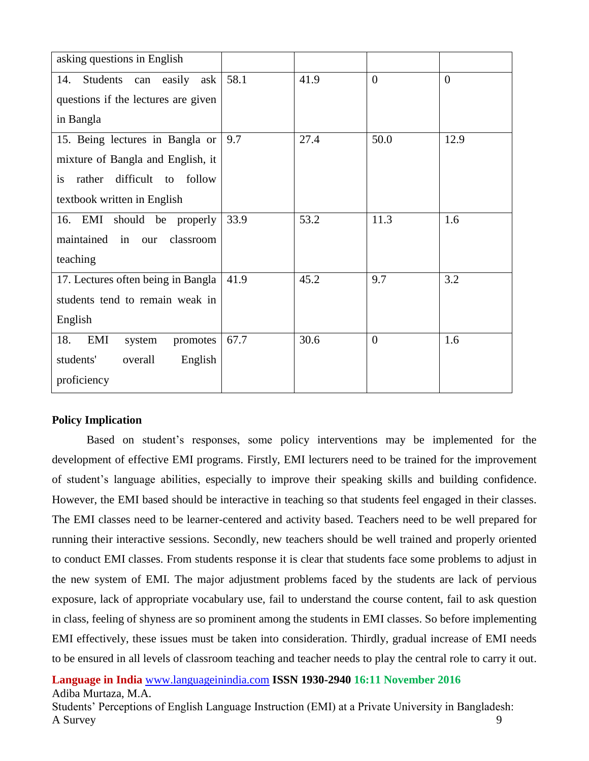| asking questions in English                |      |      |                |                |  |
|--------------------------------------------|------|------|----------------|----------------|--|
| Students can easily ask<br>14.             | 58.1 | 41.9 | $\overline{0}$ | $\overline{0}$ |  |
| questions if the lectures are given        |      |      |                |                |  |
| in Bangla                                  |      |      |                |                |  |
| 15. Being lectures in Bangla or            | 9.7  | 27.4 | 50.0           | 12.9           |  |
| mixture of Bangla and English, it          |      |      |                |                |  |
| difficult to follow<br>rather<br><i>is</i> |      |      |                |                |  |
| textbook written in English                |      |      |                |                |  |
| 16. EMI should be properly                 | 33.9 | 53.2 | 11.3           | 1.6            |  |
| maintained in our<br>classroom             |      |      |                |                |  |
| teaching                                   |      |      |                |                |  |
| 17. Lectures often being in Bangla         | 41.9 | 45.2 | 9.7            | 3.2            |  |
| students tend to remain weak in            |      |      |                |                |  |
| English                                    |      |      |                |                |  |
| 18.<br>EMI<br>promotes<br>system           | 67.7 | 30.6 | $\overline{0}$ | 1.6            |  |
| students'<br>overall<br>English            |      |      |                |                |  |
| proficiency                                |      |      |                |                |  |

# **Policy Implication**

Based on student's responses, some policy interventions may be implemented for the development of effective EMI programs. Firstly, EMI lecturers need to be trained for the improvement of student's language abilities, especially to improve their speaking skills and building confidence. However, the EMI based should be interactive in teaching so that students feel engaged in their classes. The EMI classes need to be learner-centered and activity based. Teachers need to be well prepared for running their interactive sessions. Secondly, new teachers should be well trained and properly oriented to conduct EMI classes. From students response it is clear that students face some problems to adjust in the new system of EMI. The major adjustment problems faced by the students are lack of pervious exposure, lack of appropriate vocabulary use, fail to understand the course content, fail to ask question in class, feeling of shyness are so prominent among the students in EMI classes. So before implementing EMI effectively, these issues must be taken into consideration. Thirdly, gradual increase of EMI needs to be ensured in all levels of classroom teaching and teacher needs to play the central role to carry it out.

**Language in India** [www.languageinindia.com](http://www.languageinindia.com/) **ISSN 1930-2940 16:11 November 2016** Adiba Murtaza, M.A.

Students' Perceptions of English Language Instruction (EMI) at a Private University in Bangladesh: A Survey and the set of the set of the set of the set of the set of the set of the set of the set of the set of the set of the set of the set of the set of the set of the set of the set of the set of the set of the set of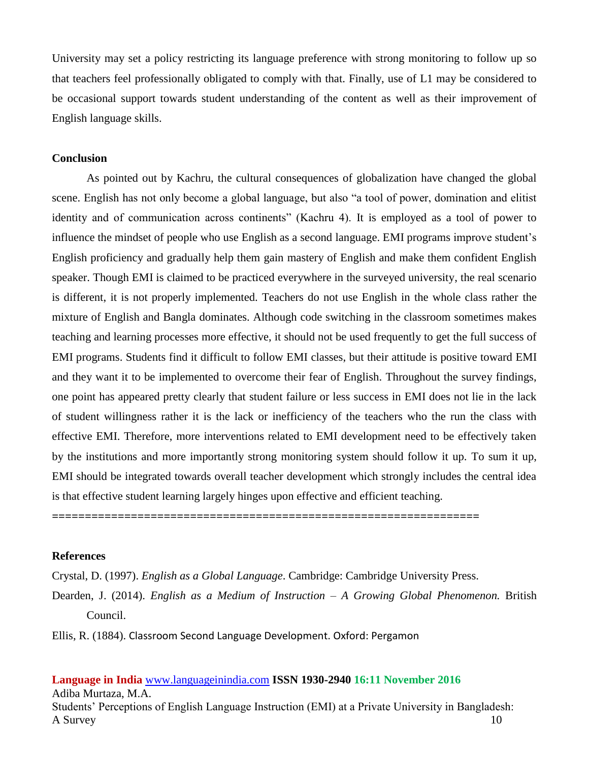University may set a policy restricting its language preference with strong monitoring to follow up so that teachers feel professionally obligated to comply with that. Finally, use of L1 may be considered to be occasional support towards student understanding of the content as well as their improvement of English language skills.

## **Conclusion**

As pointed out by Kachru, the cultural consequences of globalization have changed the global scene. English has not only become a global language, but also "a tool of power, domination and elitist identity and of communication across continents" (Kachru 4). It is employed as a tool of power to influence the mindset of people who use English as a second language. EMI programs improve student's English proficiency and gradually help them gain mastery of English and make them confident English speaker. Though EMI is claimed to be practiced everywhere in the surveyed university, the real scenario is different, it is not properly implemented. Teachers do not use English in the whole class rather the mixture of English and Bangla dominates. Although code switching in the classroom sometimes makes teaching and learning processes more effective, it should not be used frequently to get the full success of EMI programs. Students find it difficult to follow EMI classes, but their attitude is positive toward EMI and they want it to be implemented to overcome their fear of English. Throughout the survey findings, one point has appeared pretty clearly that student failure or less success in EMI does not lie in the lack of student willingness rather it is the lack or inefficiency of the teachers who the run the class with effective EMI. Therefore, more interventions related to EMI development need to be effectively taken by the institutions and more importantly strong monitoring system should follow it up. To sum it up, EMI should be integrated towards overall teacher development which strongly includes the central idea is that effective student learning largely hinges upon effective and efficient teaching.

**=================================================================**

#### **References**

Crystal, D. (1997). *English as a Global Language*. Cambridge: Cambridge University Press.

Dearden, J. (2014). *English as a Medium of Instruction – A Growing Global Phenomenon.* British Council.

Ellis, R. (1884). Classroom Second Language Development. Oxford: Pergamon

**Language in India** [www.languageinindia.com](http://www.languageinindia.com/) **ISSN 1930-2940 16:11 November 2016** Adiba Murtaza, M.A. Students' Perceptions of English Language Instruction (EMI) at a Private University in Bangladesh: A Survey and the set of the set of the set of the set of the set of the set of the set of the set of the set of the set of the set of the set of the set of the set of the set of the set of the set of the set of the set of